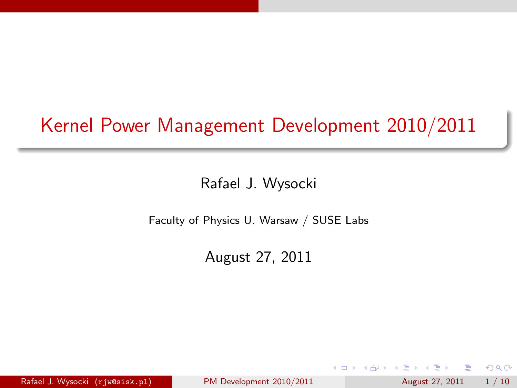# Kernel Power Management Development 2010/2011

#### Rafael J. Wysocki

Faculty of Physics U. Warsaw / SUSE Labs

August 27, 2011

Rafael J. Wysocki  $(r)$ iw@sisk.pl) [PM Development 2010/2011](#page-9-0) August 27, 2011 1 / 10

<span id="page-0-0"></span> $QQ$ 

**Biskin** 

 $\leftarrow$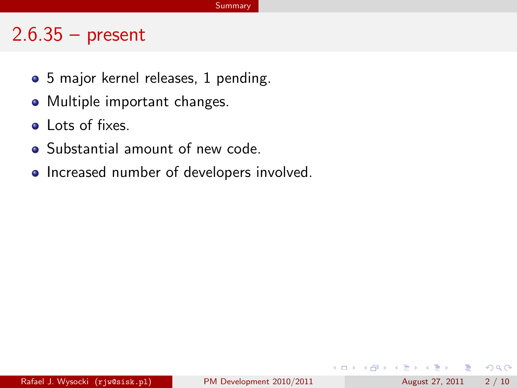#### $2.6.35 - present$

- 5 major kernel releases, 1 pending.
- Multiple important changes.
- Lots of fixes.
- Substantial amount of new code.
- Increased number of developers involved.

 $\Omega$ 

 $\mathcal{A} \cap \mathbb{P} \rightarrow \mathcal{A} \supseteq \mathcal{A} \rightarrow \mathcal{A} \supseteq \mathcal{A}$ 

4 0 8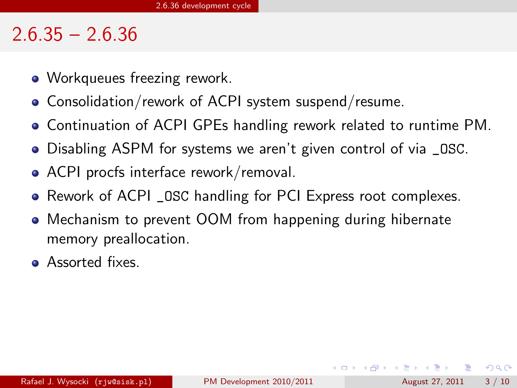#### $2.6.35 - 2.6.36$

- Workqueues freezing rework.
- Consolidation/rework of ACPI system suspend/resume.
- Continuation of ACPI GPEs handling rework related to runtime PM.
- Disabling ASPM for systems we aren't given control of via \_OSC.
- ACPI procfs interface rework/removal.
- Rework of ACPI \_ OSC handling for PCI Express root complexes.
- Mechanism to prevent OOM from happening during hibernate memory preallocation.
- **•** Assorted fixes.

 $=$   $\Omega$ 

イロト イ押ト イヨト イヨト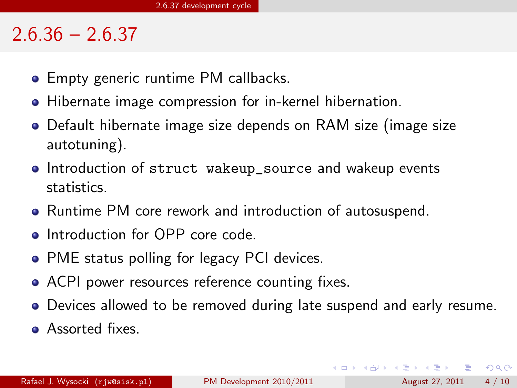### $2.6.36 - 2.6.37$

- Empty generic runtime PM callbacks.
- Hibernate image compression for in-kernel hibernation.
- Default hibernate image size depends on RAM size (image size autotuning).
- **Introduction of struct wakeup\_source and wakeup events** statistics.
- Runtime PM core rework and introduction of autosuspend.
- **•** Introduction for OPP core code.
- PME status polling for legacy PCI devices.
- ACPI power resources reference counting fixes.
- Devices allowed to be removed during late suspend and early resume.
- Assorted fixes.

Rafael J. Wysocki  $(r)$ iw@sisk.pl) [PM Development 2010/2011](#page-0-0) August 27, 2011 4 / 10

**KOD KARD KED KED B YOUR**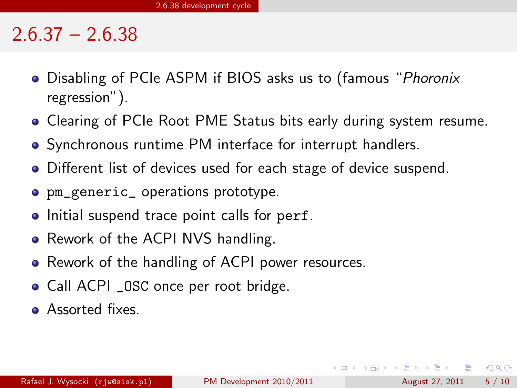#### $2.6.37 - 2.6.38$

- Disabling of PCIe ASPM if BIOS asks us to (famous "*Phoronix* regression").
- Clearing of PCIe Root PME Status bits early during system resume.
- Synchronous runtime PM interface for interrupt handlers.
- Different list of devices used for each stage of device suspend.
- pm\_generic\_ operations prototype.
- Initial suspend trace point calls for perf.
- Rework of the ACPI NVS handling.
- Rework of the handling of ACPI power resources.
- Call ACPI \_OSC once per root bridge.
- **•** Assorted fixes.

 $\Omega$ 

イロト イ押ト イヨト イヨト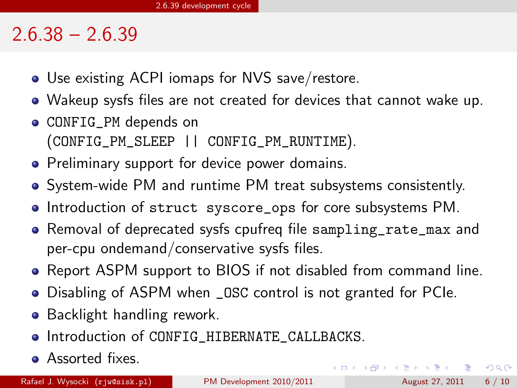### $2.6.38 - 2.6.39$

- Use existing ACPI iomaps for NVS save/restore.
- Wakeup sysfs files are not created for devices that cannot wake up.
- CONFIG\_PM depends on (CONFIG\_PM\_SLEEP || CONFIG\_PM\_RUNTIME).
- Preliminary support for device power domains.
- System-wide PM and runtime PM treat subsystems consistently.
- Introduction of struct syscore ops for core subsystems PM.
- Removal of deprecated sysfs cpufreq file sampling\_rate\_max and per-cpu ondemand/conservative sysfs files.
- Report ASPM support to BIOS if not disabled from command line.
- Disabling of ASPM when \_OSC control is not granted for PCIe.
- Backlight handling rework.
- $\bullet$  Introduction of CONFIG\_HIBERNATE\_CALLBACKS.
- **•** Assorted fixes.

Rafael J. Wysocki  $(r)$ iw@sisk.pl) [PM Development 2010/2011](#page-0-0) August 27, 2011 6 / 10

 $\equiv$   $\cap$   $\alpha$ 

メロメ メ都 メメ きょくきょ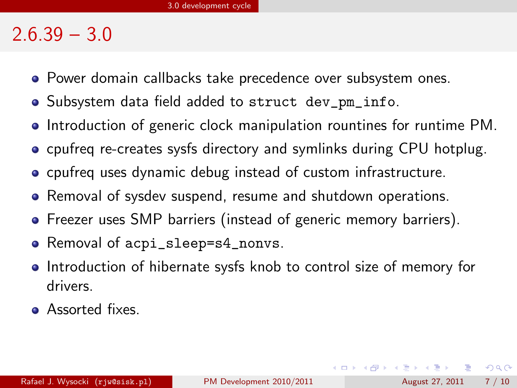### $2.6.39 - 3.0$

- **•** Power domain callbacks take precedence over subsystem ones.
- Subsystem data field added to struct dev\_pm\_info.
- Introduction of generic clock manipulation rountines for runtime PM.
- **•** cpufreq re-creates sysfs directory and symlinks during CPU hotplug.
- cpufreq uses dynamic debug instead of custom infrastructure.
- Removal of sysdev suspend, resume and shutdown operations.
- Freezer uses SMP barriers (instead of generic memory barriers).
- Removal of acpi\_sleep=s4\_nonvs.
- Introduction of hibernate sysfs knob to control size of memory for drivers.
- **•** Assorted fixes.

 $QQ$ 

イロト イ部 トイヨ トイヨト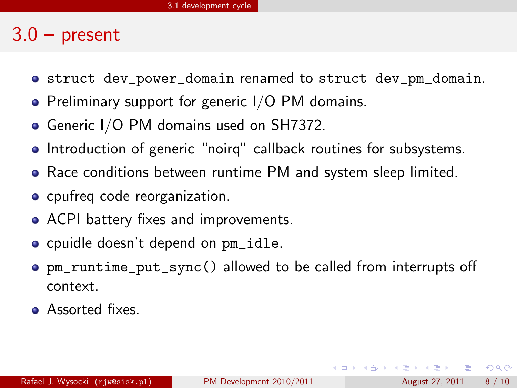### $3.0 -$  present

- struct dev\_power\_domain renamed to struct dev\_pm\_domain.
- Preliminary support for generic I/O PM domains.
- Generic I/O PM domains used on SH7372.
- Introduction of generic "noirq" callback routines for subsystems.
- Race conditions between runtime PM and system sleep limited.
- cpufreq code reorganization.
- ACPI battery fixes and improvements.
- cpuidle doesn't depend on pm\_idle.
- pm\_runtime\_put\_sync() allowed to be called from interrupts off context.
- **•** Assorted fixes.

**KOD KARD KED KED B YOUR**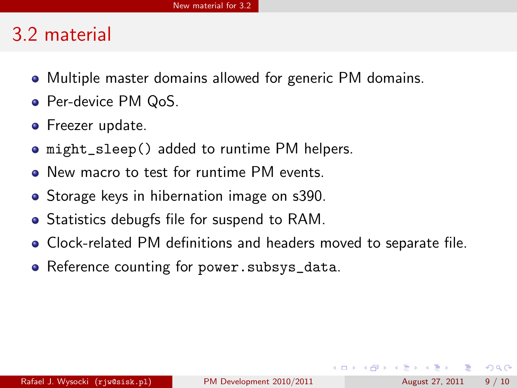## 3.2 material

- Multiple master domains allowed for generic PM domains.
- Per-device PM QoS.
- **•** Freezer update.
- might\_sleep() added to runtime PM helpers.
- New macro to test for runtime PM events.
- **•** Storage keys in hibernation image on s390.
- Statistics debugfs file for suspend to RAM.
- Clock-related PM definitions and headers moved to separate file.
- Reference counting for power.subsys\_data.

 $\equiv$ 

 $QQ$ 

 $\mathcal{A} \cap \mathbb{P} \rightarrow \mathcal{A} \supseteq \mathcal{A} \rightarrow \mathcal{A} \supseteq \mathcal{A}$